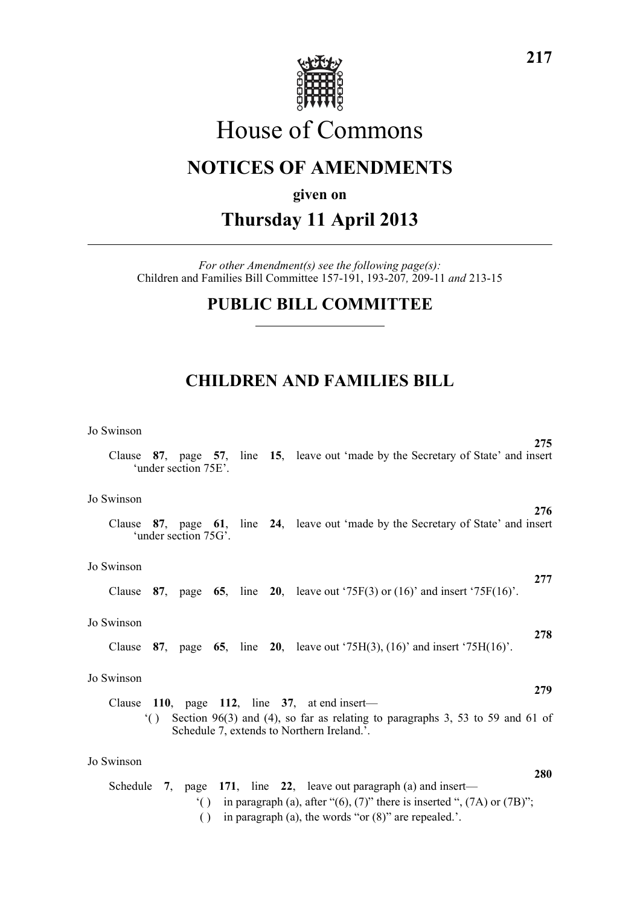

# House of Commons

## **NOTICES OF AMENDMENTS**

#### **given on**

# **Thursday 11 April 2013**

*For other Amendment(s) see the following page(s):* Children and Families Bill Committee 157-191, 193-207*,* 209-11 *and* 213-15

### **PUBLIC BILL COMMITTEE**

### **CHILDREN AND FAMILIES BILL**

#### Jo Swinson

| Clause     |           | 'under section 75E'. |  | 275<br>87, page 57, line 15, leave out 'made by the Secretary of State' and insert                                          |
|------------|-----------|----------------------|--|-----------------------------------------------------------------------------------------------------------------------------|
| Jo Swinson |           |                      |  | 276                                                                                                                         |
| Clause     |           | 'under section 75G'. |  | 87, page 61, line 24, leave out 'made by the Secretary of State' and insert                                                 |
| Jo Swinson |           |                      |  |                                                                                                                             |
| Clause     |           |                      |  | 277<br>87, page 65, line 20, leave out '75 $F(3)$ or (16)' and insert '75 $F(16)$ '.                                        |
| Jo Swinson |           |                      |  |                                                                                                                             |
| Clause     |           |                      |  | 278<br>87, page 65, line 20, leave out $75H(3)$ , $(16)$ and insert $75H(16)$ .                                             |
| Jo Swinson |           |                      |  |                                                                                                                             |
|            |           |                      |  | 279<br>Clause 110, page 112, line $37$ , at end insert—                                                                     |
|            | $\lambda$ |                      |  | Section 96(3) and (4), so far as relating to paragraphs 3, 53 to 59 and 61 of<br>Schedule 7, extends to Northern Ireland.'. |
| Jo Swinson |           |                      |  |                                                                                                                             |
|            |           |                      |  | 280<br>Schedule 7, page 171, line 22, leave out paragraph (a) and insert—                                                   |

- '( ) in paragraph (a), after " $(6)$ ,  $(7)$ " there is inserted ",  $(7A)$  or  $(7B)$ ";
- ( ) in paragraph (a), the words "or (8)" are repealed.'.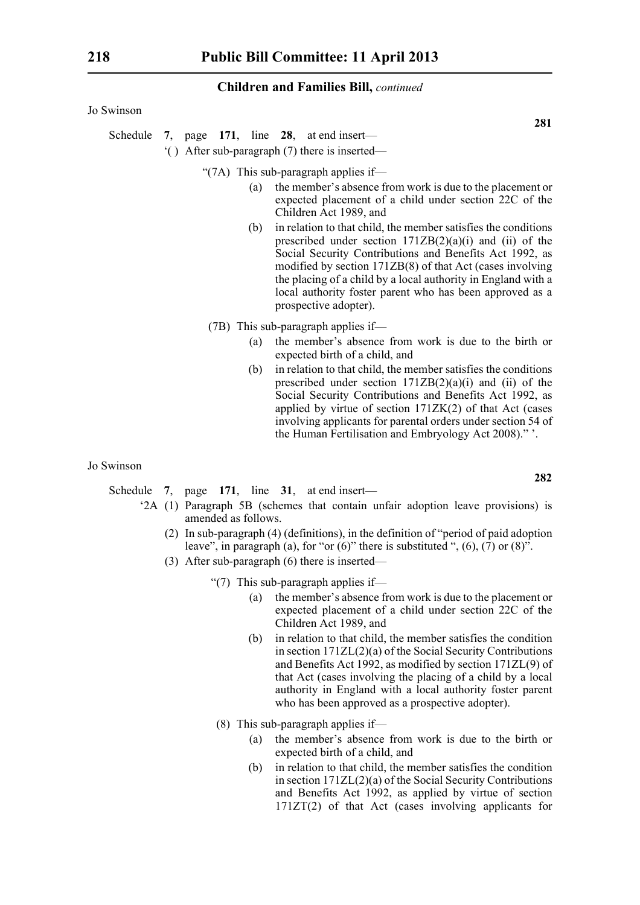Jo Swinson

Schedule **7**, page **171**, line **28**, at end insert—

'( ) After sub-paragraph (7) there is inserted—

"(7A) This sub-paragraph applies if—

- (a) the member's absence from work is due to the placement or expected placement of a child under section 22C of the Children Act 1989, and
- (b) in relation to that child, the member satisfies the conditions prescribed under section  $171ZB(2)(a)(i)$  and (ii) of the Social Security Contributions and Benefits Act 1992, as modified by section 171ZB(8) of that Act (cases involving the placing of a child by a local authority in England with a local authority foster parent who has been approved as a prospective adopter).
- (7B) This sub-paragraph applies if—
	- (a) the member's absence from work is due to the birth or expected birth of a child, and
	- (b) in relation to that child, the member satisfies the conditions prescribed under section  $171ZB(2)(a)(i)$  and (ii) of the Social Security Contributions and Benefits Act 1992, as applied by virtue of section 171ZK(2) of that Act (cases involving applicants for parental orders under section 54 of the Human Fertilisation and Embryology Act 2008)." '.

#### Jo Swinson

Schedule **7**, page **171**, line **31**, at end insert—

- '2A (1) Paragraph 5B (schemes that contain unfair adoption leave provisions) is amended as follows.
	- (2) In sub-paragraph (4) (definitions), in the definition of "period of paid adoption leave", in paragraph (a), for "or  $(6)$ " there is substituted ",  $(6)$ ,  $(7)$  or  $(8)$ ".
	- (3) After sub-paragraph (6) there is inserted—
		- "(7) This sub-paragraph applies if—
			- (a) the member's absence from work is due to the placement or expected placement of a child under section 22C of the Children Act 1989, and
			- (b) in relation to that child, the member satisfies the condition in section 171ZL(2)(a) of the Social Security Contributions and Benefits Act 1992, as modified by section 171ZL(9) of that Act (cases involving the placing of a child by a local authority in England with a local authority foster parent who has been approved as a prospective adopter).
			- (8) This sub-paragraph applies if—
				- (a) the member's absence from work is due to the birth or expected birth of a child, and
				- (b) in relation to that child, the member satisfies the condition in section 171ZL(2)(a) of the Social Security Contributions and Benefits Act 1992, as applied by virtue of section 171ZT(2) of that Act (cases involving applicants for

**282**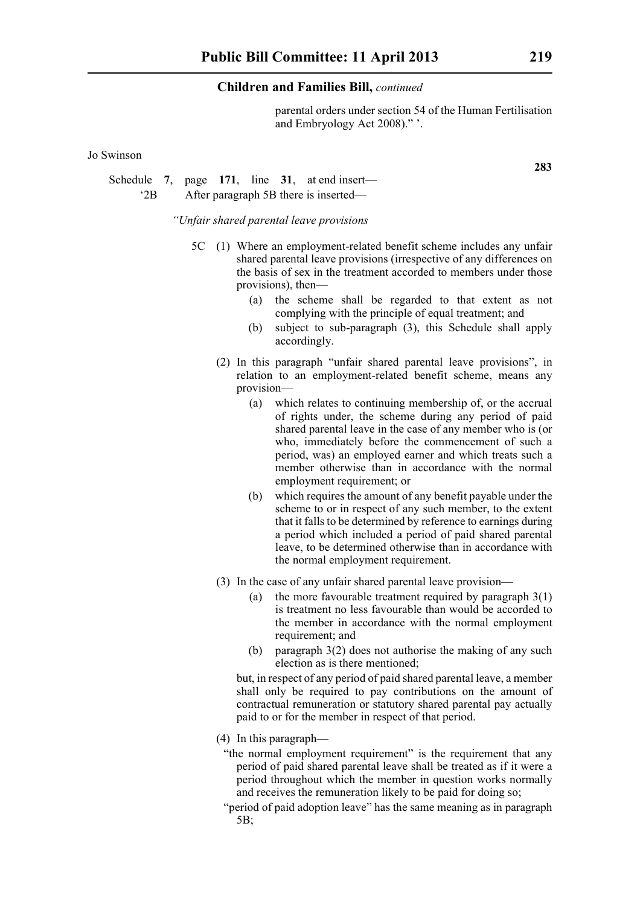parental orders under section 54 of the Human Fertilisation and Embryology Act 2008)." '.

Jo Swinson

Schedule **7**, page **171**, line **31**, at end insert— '2B After paragraph 5B there is inserted—

*"Unfair shared parental leave provisions*

- 5C (1) Where an employment-related benefit scheme includes any unfair shared parental leave provisions (irrespective of any differences on the basis of sex in the treatment accorded to members under those provisions), then—
	- (a) the scheme shall be regarded to that extent as not complying with the principle of equal treatment; and
	- (b) subject to sub-paragraph (3), this Schedule shall apply accordingly.
	- (2) In this paragraph "unfair shared parental leave provisions", in relation to an employment-related benefit scheme, means any provision—
		- (a) which relates to continuing membership of, or the accrual of rights under, the scheme during any period of paid shared parental leave in the case of any member who is (or who, immediately before the commencement of such a period, was) an employed earner and which treats such a member otherwise than in accordance with the normal employment requirement; or
		- (b) which requires the amount of any benefit payable under the scheme to or in respect of any such member, to the extent that it falls to be determined by reference to earnings during a period which included a period of paid shared parental leave, to be determined otherwise than in accordance with the normal employment requirement.
	- (3) In the case of any unfair shared parental leave provision—
		- (a) the more favourable treatment required by paragraph  $3(1)$ is treatment no less favourable than would be accorded to the member in accordance with the normal employment requirement; and
		- (b) paragraph 3(2) does not authorise the making of any such election as is there mentioned;

but, in respect of any period of paid shared parental leave, a member shall only be required to pay contributions on the amount of contractual remuneration or statutory shared parental pay actually paid to or for the member in respect of that period.

- (4) In this paragraph—
	- "the normal employment requirement" is the requirement that any period of paid shared parental leave shall be treated as if it were a period throughout which the member in question works normally and receives the remuneration likely to be paid for doing so;
	- "period of paid adoption leave" has the same meaning as in paragraph 5B;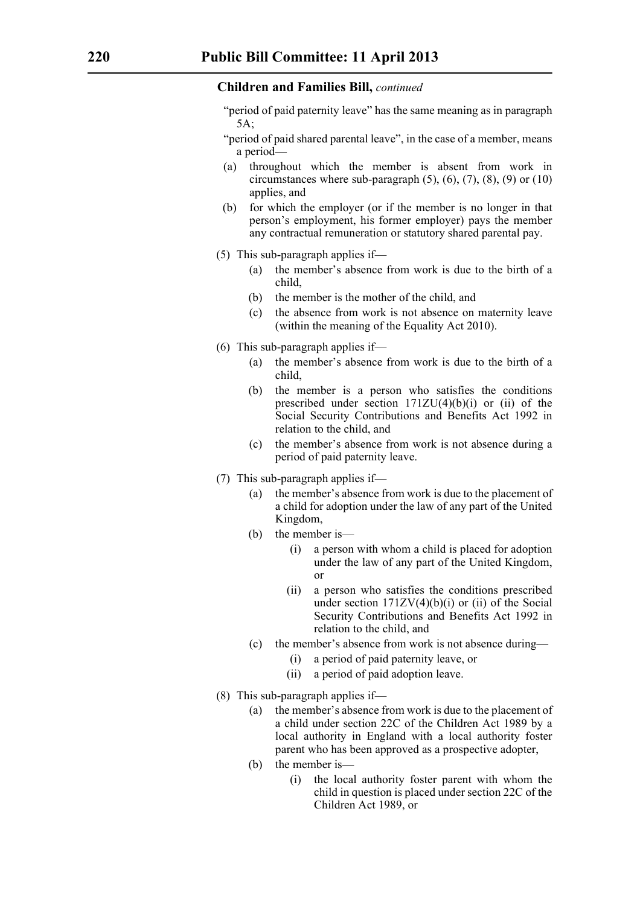- "period of paid paternity leave" has the same meaning as in paragraph 5A;
- "period of paid shared parental leave", in the case of a member, means a period—
- (a) throughout which the member is absent from work in circumstances where sub-paragraph  $(5)$ ,  $(6)$ ,  $(7)$ ,  $(8)$ ,  $(9)$  or  $(10)$ applies, and
- (b) for which the employer (or if the member is no longer in that person's employment, his former employer) pays the member any contractual remuneration or statutory shared parental pay.
- (5) This sub-paragraph applies if—
	- (a) the member's absence from work is due to the birth of a child,
	- (b) the member is the mother of the child, and
	- (c) the absence from work is not absence on maternity leave (within the meaning of the Equality Act 2010).
- (6) This sub-paragraph applies if—
	- (a) the member's absence from work is due to the birth of a child,
	- (b) the member is a person who satisfies the conditions prescribed under section  $171ZU(4)(b)(i)$  or (ii) of the Social Security Contributions and Benefits Act 1992 in relation to the child, and
	- (c) the member's absence from work is not absence during a period of paid paternity leave.
- (7) This sub-paragraph applies if—
	- (a) the member's absence from work is due to the placement of a child for adoption under the law of any part of the United Kingdom,
	- (b) the member is—
		- (i) a person with whom a child is placed for adoption under the law of any part of the United Kingdom, or
		- (ii) a person who satisfies the conditions prescribed under section  $171ZV(4)(b)(i)$  or (ii) of the Social Security Contributions and Benefits Act 1992 in relation to the child, and
	- (c) the member's absence from work is not absence during—
		- (i) a period of paid paternity leave, or
		- (ii) a period of paid adoption leave.
- (8) This sub-paragraph applies if—
	- (a) the member's absence from work is due to the placement of a child under section 22C of the Children Act 1989 by a local authority in England with a local authority foster parent who has been approved as a prospective adopter,
	- (b) the member is—
		- (i) the local authority foster parent with whom the child in question is placed under section 22C of the Children Act 1989, or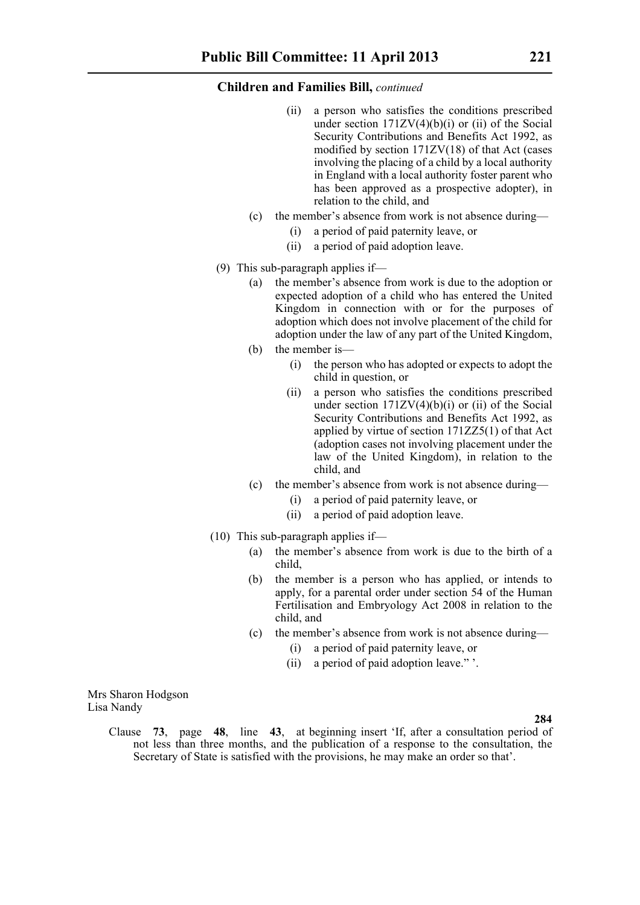- (ii) a person who satisfies the conditions prescribed under section  $171ZV(4)(b)(i)$  or (ii) of the Social Security Contributions and Benefits Act 1992, as modified by section 171ZV(18) of that Act (cases involving the placing of a child by a local authority in England with a local authority foster parent who has been approved as a prospective adopter), in relation to the child, and
- (c) the member's absence from work is not absence during—
	- (i) a period of paid paternity leave, or
	- (ii) a period of paid adoption leave.
- (9) This sub-paragraph applies if—
	- (a) the member's absence from work is due to the adoption or expected adoption of a child who has entered the United Kingdom in connection with or for the purposes of adoption which does not involve placement of the child for adoption under the law of any part of the United Kingdom,
	- (b) the member is—
		- (i) the person who has adopted or expects to adopt the child in question, or
		- (ii) a person who satisfies the conditions prescribed under section  $171ZV(4)(b)(i)$  or (ii) of the Social Security Contributions and Benefits Act 1992, as applied by virtue of section 171ZZ5(1) of that Act (adoption cases not involving placement under the law of the United Kingdom), in relation to the child, and
	- (c) the member's absence from work is not absence during—
		- (i) a period of paid paternity leave, or
		- (ii) a period of paid adoption leave.
- $(10)$  This sub-paragraph applies if—
	- (a) the member's absence from work is due to the birth of a child,
	- (b) the member is a person who has applied, or intends to apply, for a parental order under section 54 of the Human Fertilisation and Embryology Act 2008 in relation to the child, and
	- (c) the member's absence from work is not absence during—
		- (i) a period of paid paternity leave, or
		- (ii) a period of paid adoption leave." '.

Mrs Sharon Hodgson Lisa Nandy

**284**

Clause **73**, page **48**, line **43**, at beginning insert 'If, after a consultation period of not less than three months, and the publication of a response to the consultation, the Secretary of State is satisfied with the provisions, he may make an order so that'.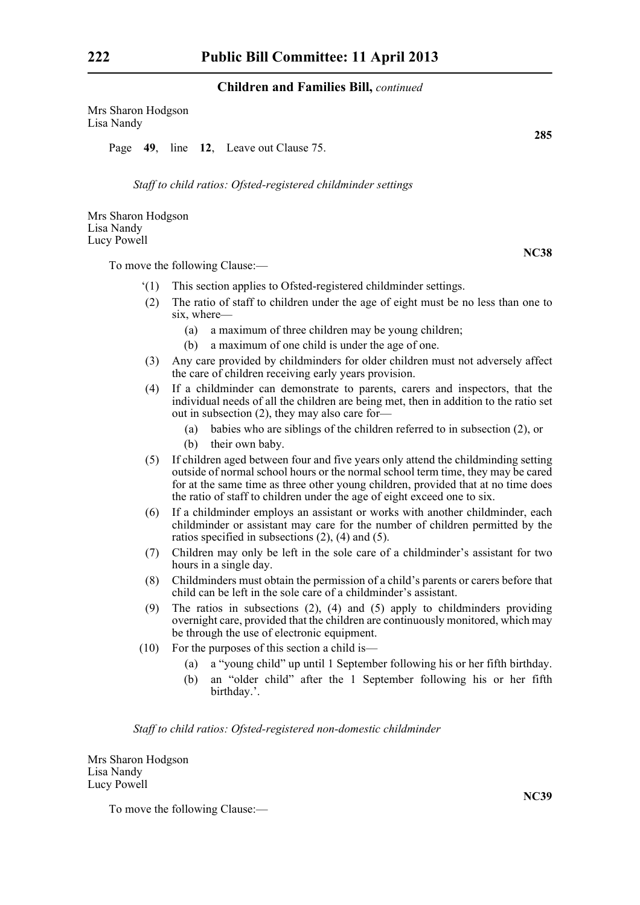Mrs Sharon Hodgson Lisa Nandy

Page **49**, line **12**, Leave out Clause 75.

*Staff to child ratios: Ofsted-registered childminder settings*

Mrs Sharon Hodgson Lisa Nandy Lucy Powell

To move the following Clause:—

- '(1) This section applies to Ofsted-registered childminder settings.
- (2) The ratio of staff to children under the age of eight must be no less than one to six, where—
	- (a) a maximum of three children may be young children;
	- (b) a maximum of one child is under the age of one.
- (3) Any care provided by childminders for older children must not adversely affect the care of children receiving early years provision.
- (4) If a childminder can demonstrate to parents, carers and inspectors, that the individual needs of all the children are being met, then in addition to the ratio set out in subsection (2), they may also care for—
	- (a) babies who are siblings of the children referred to in subsection (2), or
	- (b) their own baby.
- (5) If children aged between four and five years only attend the childminding setting outside of normal school hours or the normal school term time, they may be cared for at the same time as three other young children, provided that at no time does the ratio of staff to children under the age of eight exceed one to six.
- (6) If a childminder employs an assistant or works with another childminder, each childminder or assistant may care for the number of children permitted by the ratios specified in subsections (2), (4) and (5).
- (7) Children may only be left in the sole care of a childminder's assistant for two hours in a single day.
- (8) Childminders must obtain the permission of a child's parents or carers before that child can be left in the sole care of a childminder's assistant.
- (9) The ratios in subsections (2), (4) and (5) apply to childminders providing overnight care, provided that the children are continuously monitored, which may be through the use of electronic equipment.
- (10) For the purposes of this section a child is—
	- (a) a "young child" up until 1 September following his or her fifth birthday.
	- (b) an "older child" after the 1 September following his or her fifth birthday.'.

*Staff to child ratios: Ofsted-registered non-domestic childminder*

Mrs Sharon Hodgson Lisa Nandy Lucy Powell

To move the following Clause:—

**NC38**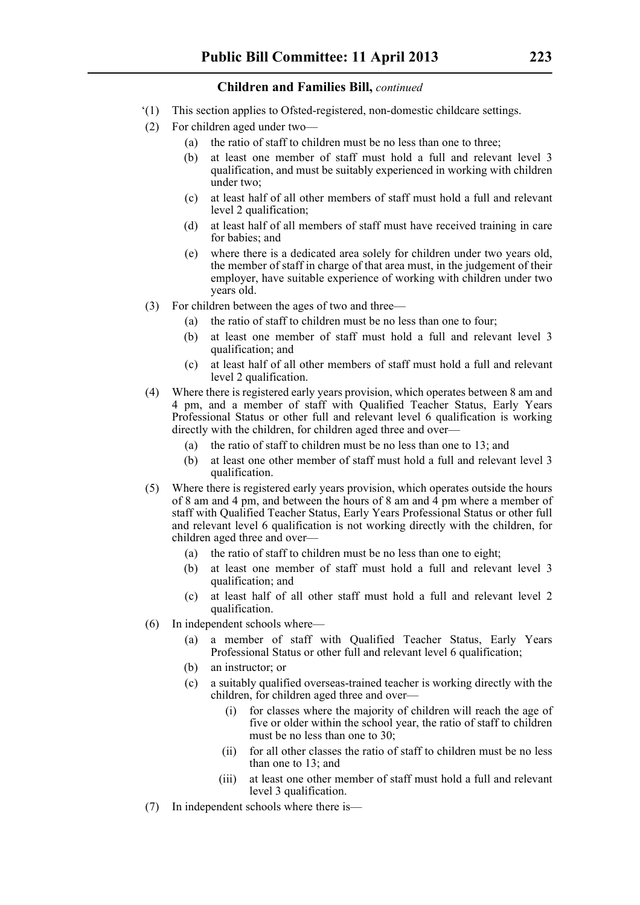- '(1) This section applies to Ofsted-registered, non-domestic childcare settings.
- (2) For children aged under two—
	- (a) the ratio of staff to children must be no less than one to three;
	- (b) at least one member of staff must hold a full and relevant level 3 qualification, and must be suitably experienced in working with children under two;
	- (c) at least half of all other members of staff must hold a full and relevant level 2 qualification;
	- (d) at least half of all members of staff must have received training in care for babies; and
	- (e) where there is a dedicated area solely for children under two years old, the member of staff in charge of that area must, in the judgement of their employer, have suitable experience of working with children under two years old.
- (3) For children between the ages of two and three—
	- (a) the ratio of staff to children must be no less than one to four;
	- (b) at least one member of staff must hold a full and relevant level 3 qualification; and
	- (c) at least half of all other members of staff must hold a full and relevant level 2 qualification.
- (4) Where there is registered early years provision, which operates between 8 am and 4 pm, and a member of staff with Qualified Teacher Status, Early Years Professional Status or other full and relevant level 6 qualification is working directly with the children, for children aged three and over—
	- (a) the ratio of staff to children must be no less than one to 13; and
	- (b) at least one other member of staff must hold a full and relevant level 3 qualification.
- (5) Where there is registered early years provision, which operates outside the hours of 8 am and 4 pm, and between the hours of 8 am and 4 pm where a member of staff with Qualified Teacher Status, Early Years Professional Status or other full and relevant level 6 qualification is not working directly with the children, for children aged three and over—
	- (a) the ratio of staff to children must be no less than one to eight;
	- (b) at least one member of staff must hold a full and relevant level 3 qualification; and
	- (c) at least half of all other staff must hold a full and relevant level 2 qualification.
- (6) In independent schools where—
	- (a) a member of staff with Qualified Teacher Status, Early Years Professional Status or other full and relevant level 6 qualification;
	- (b) an instructor; or
	- (c) a suitably qualified overseas-trained teacher is working directly with the children, for children aged three and over
		- for classes where the majority of children will reach the age of five or older within the school year, the ratio of staff to children must be no less than one to 30;
		- (ii) for all other classes the ratio of staff to children must be no less than one to 13; and
		- (iii) at least one other member of staff must hold a full and relevant level 3 qualification.
- (7) In independent schools where there is—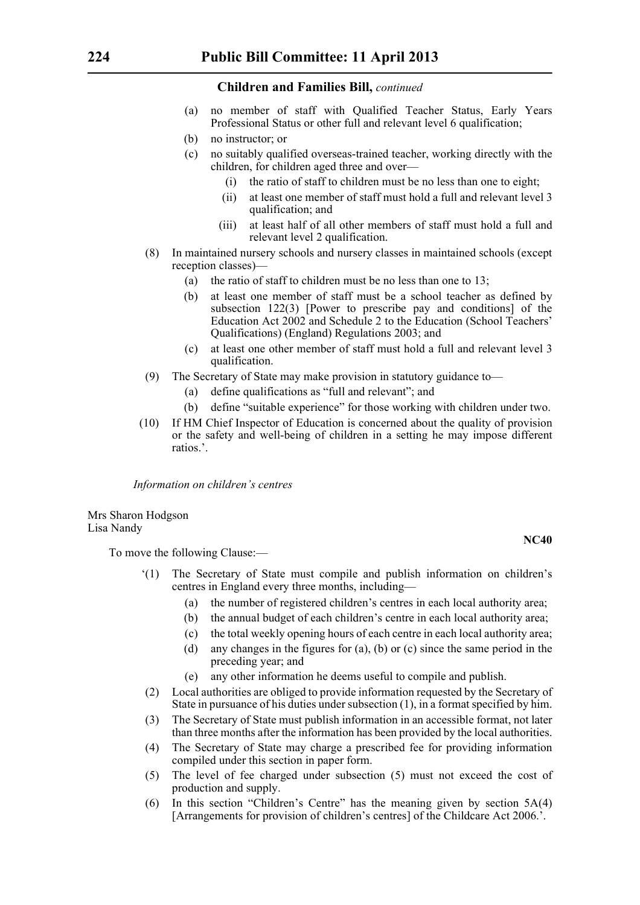- (a) no member of staff with Qualified Teacher Status, Early Years Professional Status or other full and relevant level 6 qualification;
- (b) no instructor; or
- (c) no suitably qualified overseas-trained teacher, working directly with the children, for children aged three and over—
	- (i) the ratio of staff to children must be no less than one to eight;
	- (ii) at least one member of staff must hold a full and relevant level 3 qualification; and
	- (iii) at least half of all other members of staff must hold a full and relevant level 2 qualification.
- (8) In maintained nursery schools and nursery classes in maintained schools (except reception classes)—
	- (a) the ratio of staff to children must be no less than one to 13;
	- (b) at least one member of staff must be a school teacher as defined by subsection 122(3) [Power to prescribe pay and conditions] of the Education Act 2002 and Schedule 2 to the Education (School Teachers' Qualifications) (England) Regulations 2003; and
	- (c) at least one other member of staff must hold a full and relevant level 3 qualification.
- (9) The Secretary of State may make provision in statutory guidance to—
	- (a) define qualifications as "full and relevant"; and
	- (b) define "suitable experience" for those working with children under two.
- (10) If HM Chief Inspector of Education is concerned about the quality of provision or the safety and well-being of children in a setting he may impose different ratios.'.

*Information on children's centres*

Mrs Sharon Hodgson Lisa Nandy

To move the following Clause:—

- '(1) The Secretary of State must compile and publish information on children's centres in England every three months, including—
	- (a) the number of registered children's centres in each local authority area;
	- (b) the annual budget of each children's centre in each local authority area;
	- (c) the total weekly opening hours of each centre in each local authority area;
	- (d) any changes in the figures for (a), (b) or (c) since the same period in the preceding year; and
	- (e) any other information he deems useful to compile and publish.
- (2) Local authorities are obliged to provide information requested by the Secretary of State in pursuance of his duties under subsection (1), in a format specified by him.
- (3) The Secretary of State must publish information in an accessible format, not later than three months after the information has been provided by the local authorities.
- (4) The Secretary of State may charge a prescribed fee for providing information compiled under this section in paper form.
- (5) The level of fee charged under subsection (5) must not exceed the cost of production and supply.
- (6) In this section "Children's Centre" has the meaning given by section 5A(4) [Arrangements for provision of children's centres] of the Childcare Act 2006.'.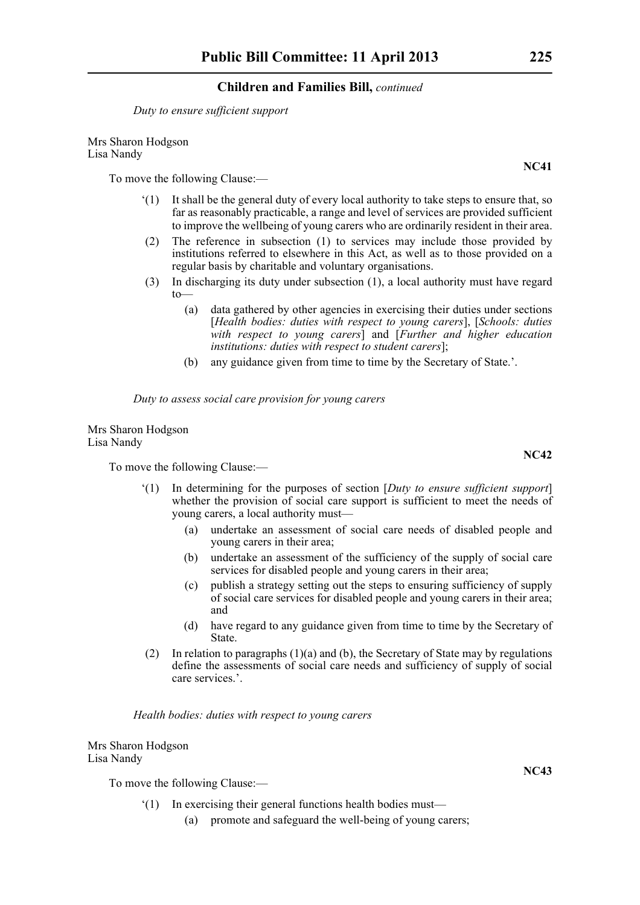*Duty to ensure sufficient support*

Mrs Sharon Hodgson Lisa Nandy

To move the following Clause:—

- '(1) It shall be the general duty of every local authority to take steps to ensure that, so far as reasonably practicable, a range and level of services are provided sufficient to improve the wellbeing of young carers who are ordinarily resident in their area.
- (2) The reference in subsection (1) to services may include those provided by institutions referred to elsewhere in this Act, as well as to those provided on a regular basis by charitable and voluntary organisations.
- (3) In discharging its duty under subsection (1), a local authority must have regard to—
	- (a) data gathered by other agencies in exercising their duties under sections [*Health bodies: duties with respect to young carers*], [*Schools: duties with respect to young carers*] and [*Further and higher education institutions: duties with respect to student carers*];
	- (b) any guidance given from time to time by the Secretary of State.'.

*Duty to assess social care provision for young carers*

Mrs Sharon Hodgson Lisa Nandy

To move the following Clause:—

- '(1) In determining for the purposes of section [*Duty to ensure sufficient support*] whether the provision of social care support is sufficient to meet the needs of young carers, a local authority must—
	- (a) undertake an assessment of social care needs of disabled people and young carers in their area;
	- (b) undertake an assessment of the sufficiency of the supply of social care services for disabled people and young carers in their area;
	- (c) publish a strategy setting out the steps to ensuring sufficiency of supply of social care services for disabled people and young carers in their area; and
	- (d) have regard to any guidance given from time to time by the Secretary of **State**
- (2) In relation to paragraphs  $(1)(a)$  and (b), the Secretary of State may by regulations define the assessments of social care needs and sufficiency of supply of social care services.'.

*Health bodies: duties with respect to young carers*

Mrs Sharon Hodgson Lisa Nandy

To move the following Clause:—

- '(1) In exercising their general functions health bodies must—
	- (a) promote and safeguard the well-being of young carers;

**NC41**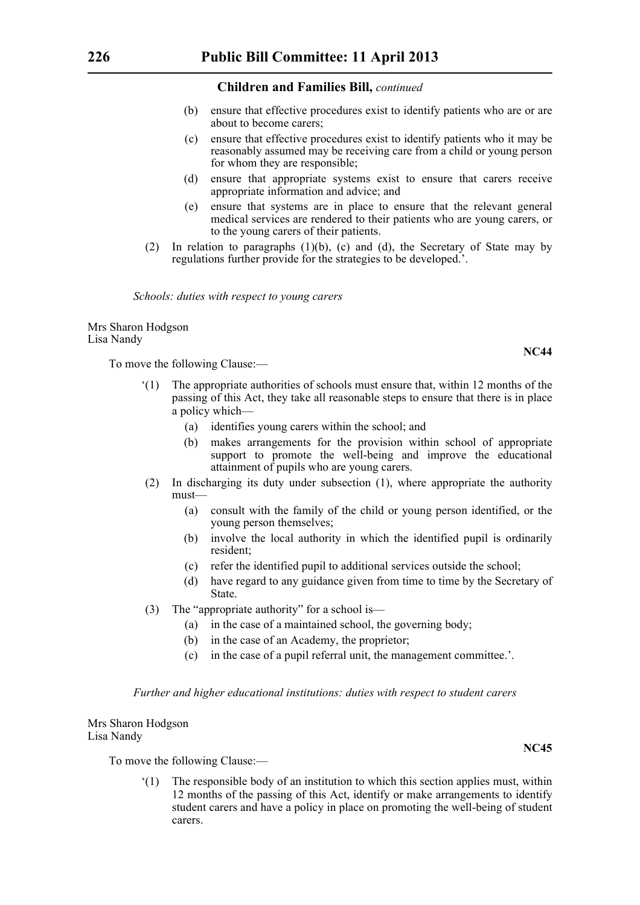- (b) ensure that effective procedures exist to identify patients who are or are about to become carers;
- (c) ensure that effective procedures exist to identify patients who it may be reasonably assumed may be receiving care from a child or young person for whom they are responsible;
- (d) ensure that appropriate systems exist to ensure that carers receive appropriate information and advice; and
- (e) ensure that systems are in place to ensure that the relevant general medical services are rendered to their patients who are young carers, or to the young carers of their patients.
- (2) In relation to paragraphs  $(1)(b)$ , (c) and (d), the Secretary of State may by regulations further provide for the strategies to be developed.'.

*Schools: duties with respect to young carers*

Mrs Sharon Hodgson Lisa Nandy

To move the following Clause:—

- '(1) The appropriate authorities of schools must ensure that, within 12 months of the passing of this Act, they take all reasonable steps to ensure that there is in place a policy which—
	- (a) identifies young carers within the school; and
	- (b) makes arrangements for the provision within school of appropriate support to promote the well-being and improve the educational attainment of pupils who are young carers.
- (2) In discharging its duty under subsection (1), where appropriate the authority must—
	- (a) consult with the family of the child or young person identified, or the young person themselves;
	- (b) involve the local authority in which the identified pupil is ordinarily resident;
	- (c) refer the identified pupil to additional services outside the school;
	- (d) have regard to any guidance given from time to time by the Secretary of State.
- (3) The "appropriate authority" for a school is—
	- (a) in the case of a maintained school, the governing body;
	- (b) in the case of an Academy, the proprietor;
	- (c) in the case of a pupil referral unit, the management committee.'.

#### *Further and higher educational institutions: duties with respect to student carers*

Mrs Sharon Hodgson Lisa Nandy

To move the following Clause:—

'(1) The responsible body of an institution to which this section applies must, within 12 months of the passing of this Act, identify or make arrangements to identify student carers and have a policy in place on promoting the well-being of student carers.

**NC44**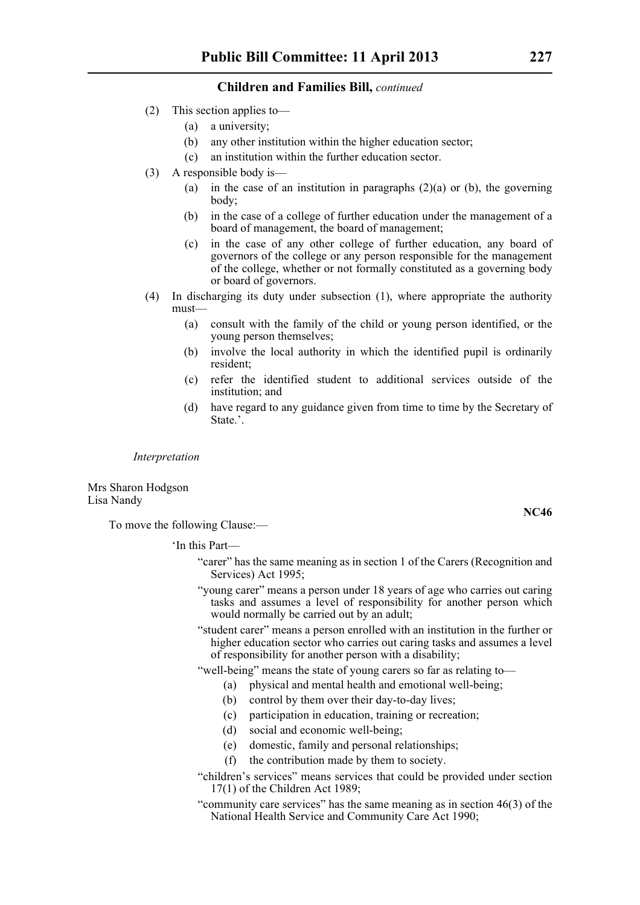- (2) This section applies to—
	- (a) a university;
	- (b) any other institution within the higher education sector;
	- (c) an institution within the further education sector.
- (3) A responsible body is—
	- (a) in the case of an institution in paragraphs  $(2)(a)$  or (b), the governing body;
	- (b) in the case of a college of further education under the management of a board of management, the board of management;
	- (c) in the case of any other college of further education, any board of governors of the college or any person responsible for the management of the college, whether or not formally constituted as a governing body or board of governors.
- (4) In discharging its duty under subsection (1), where appropriate the authority must—
	- (a) consult with the family of the child or young person identified, or the young person themselves;
	- (b) involve the local authority in which the identified pupil is ordinarily resident;
	- (c) refer the identified student to additional services outside of the institution; and
	- (d) have regard to any guidance given from time to time by the Secretary of State<sup>'</sup>

*Interpretation*

Mrs Sharon Hodgson Lisa Nandy

To move the following Clause:—

'In this Part—

- "carer" has the same meaning as in section 1 of the Carers (Recognition and Services) Act 1995;
- "young carer" means a person under 18 years of age who carries out caring tasks and assumes a level of responsibility for another person which would normally be carried out by an adult;
- "student carer" means a person enrolled with an institution in the further or higher education sector who carries out caring tasks and assumes a level of responsibility for another person with a disability;
- "well-being" means the state of young carers so far as relating to—
	- (a) physical and mental health and emotional well-being;
	- (b) control by them over their day-to-day lives;
	- (c) participation in education, training or recreation;
	- (d) social and economic well-being;
	- (e) domestic, family and personal relationships;
	- (f) the contribution made by them to society.
- "children's services" means services that could be provided under section 17(1) of the Children Act 1989;
- "community care services" has the same meaning as in section 46(3) of the National Health Service and Community Care Act 1990;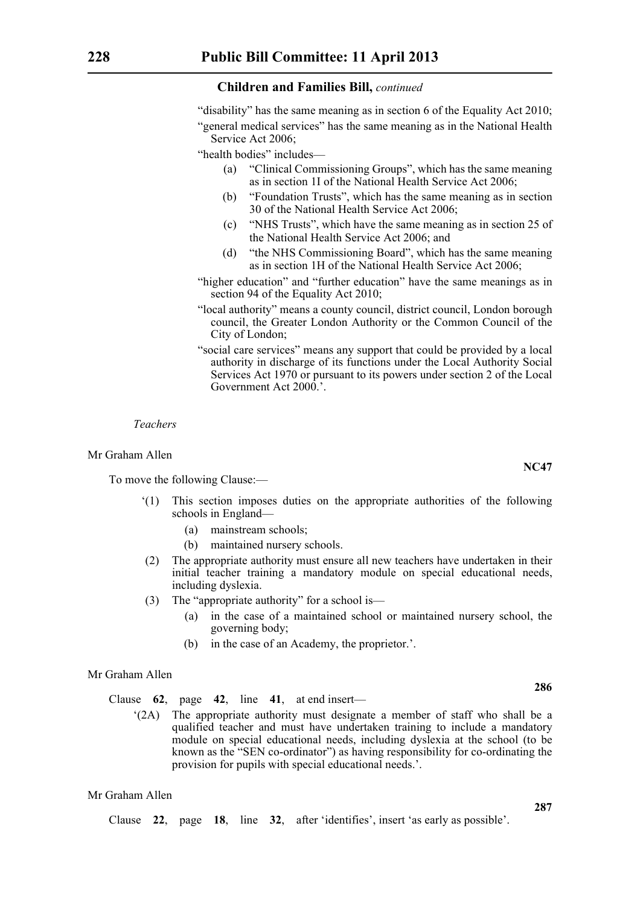"disability" has the same meaning as in section 6 of the Equality Act 2010;

"general medical services" has the same meaning as in the National Health Service Act 2006;

"health bodies" includes—

- (a) "Clinical Commissioning Groups", which has the same meaning as in section 1I of the National Health Service Act 2006;
- (b) "Foundation Trusts", which has the same meaning as in section 30 of the National Health Service Act 2006;
- (c) "NHS Trusts", which have the same meaning as in section 25 of the National Health Service Act 2006; and
- (d) "the NHS Commissioning Board", which has the same meaning as in section 1H of the National Health Service Act 2006;
- "higher education" and "further education" have the same meanings as in section 94 of the Equality Act 2010;
- "local authority" means a county council, district council, London borough council, the Greater London Authority or the Common Council of the City of London;
- "social care services" means any support that could be provided by a local authority in discharge of its functions under the Local Authority Social Services Act 1970 or pursuant to its powers under section 2 of the Local Government Act 2000.'.

#### *Teachers*

#### Mr Graham Allen

To move the following Clause:—

- '(1) This section imposes duties on the appropriate authorities of the following schools in England—
	- (a) mainstream schools;
	- (b) maintained nursery schools.
- (2) The appropriate authority must ensure all new teachers have undertaken in their initial teacher training a mandatory module on special educational needs, including dyslexia.
- (3) The "appropriate authority" for a school is—
	- (a) in the case of a maintained school or maintained nursery school, the governing body;
	- (b) in the case of an Academy, the proprietor.'.

#### Mr Graham Allen

Clause **62**, page **42**, line **41**, at end insert—

'(2A) The appropriate authority must designate a member of staff who shall be a qualified teacher and must have undertaken training to include a mandatory module on special educational needs, including dyslexia at the school (to be known as the "SEN co-ordinator") as having responsibility for co-ordinating the provision for pupils with special educational needs.'.

```
Mr Graham Allen
```
Clause **22**, page **18**, line **32**, after 'identifies', insert 'as early as possible'.

**NC47**

**286**